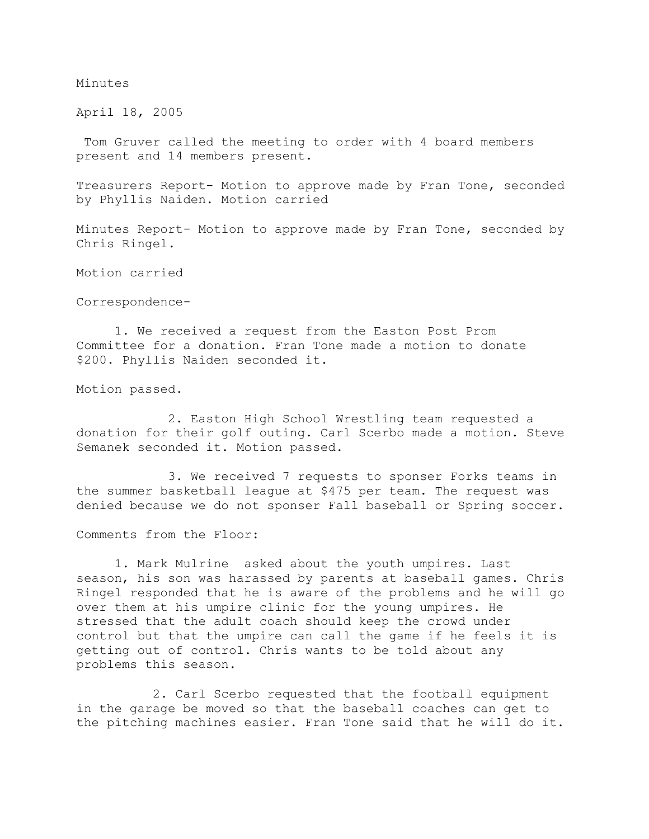## Minutes

April 18, 2005

Tom Gruver called the meeting to order with 4 board members present and 14 members present.

Treasurers Report- Motion to approve made by Fran Tone, seconded by Phyllis Naiden. Motion carried

Minutes Report- Motion to approve made by Fran Tone, seconded by Chris Ringel.

Motion carried

Correspondence-

1. We received a request from the Easton Post Prom Committee for a donation. Fran Tone made a motion to donate \$200. Phyllis Naiden seconded it.

Motion passed.

 2. Easton High School Wrestling team requested a donation for their golf outing. Carl Scerbo made a motion. Steve Semanek seconded it. Motion passed.

 3. We received 7 requests to sponser Forks teams in the summer basketball league at \$475 per team. The request was denied because we do not sponser Fall baseball or Spring soccer.

Comments from the Floor:

1. Mark Mulrine asked about the youth umpires. Last season, his son was harassed by parents at baseball games. Chris Ringel responded that he is aware of the problems and he will go over them at his umpire clinic for the young umpires. He stressed that the adult coach should keep the crowd under control but that the umpire can call the game if he feels it is getting out of control. Chris wants to be told about any problems this season.

 2. Carl Scerbo requested that the football equipment in the garage be moved so that the baseball coaches can get to the pitching machines easier. Fran Tone said that he will do it.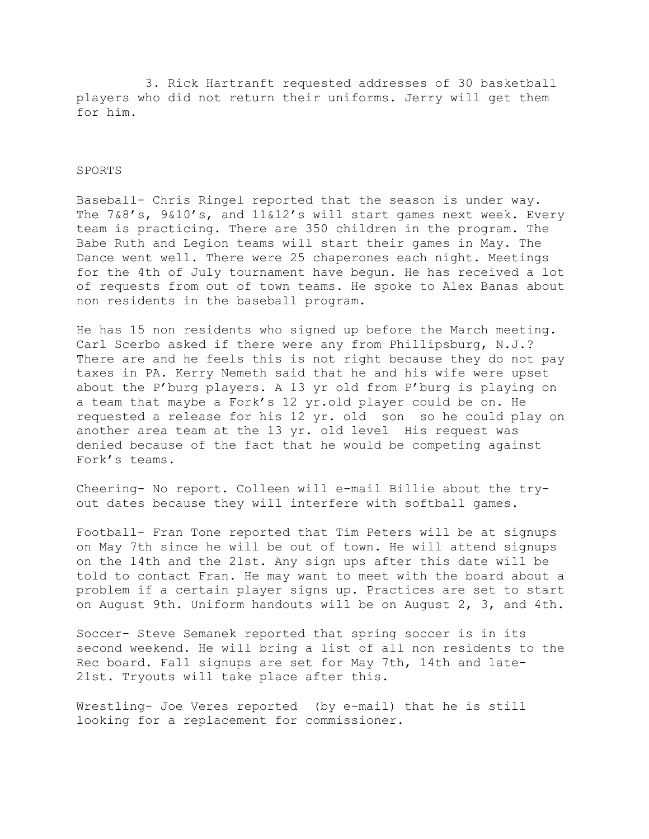3. Rick Hartranft requested addresses of 30 basketball players who did not return their uniforms. Jerry will get them for him.

## SPORTS

Baseball- Chris Ringel reported that the season is under way. The 7&8's, 9&10's, and 11&12's will start games next week. Every team is practicing. There are 350 children in the program. The Babe Ruth and Legion teams will start their games in May. The Dance went well. There were 25 chaperones each night. Meetings for the 4th of July tournament have begun. He has received a lot of requests from out of town teams. He spoke to Alex Banas about non residents in the baseball program.

He has 15 non residents who signed up before the March meeting. Carl Scerbo asked if there were any from Phillipsburg, N.J.? There are and he feels this is not right because they do not pay taxes in PA. Kerry Nemeth said that he and his wife were upset about the P'burg players. A 13 yr old from P'burg is playing on a team that maybe a Fork's 12 yr.old player could be on. He requested a release for his 12 yr. old son so he could play on another area team at the 13 yr. old level His request was denied because of the fact that he would be competing against Fork's teams.

Cheering- No report. Colleen will e-mail Billie about the tryout dates because they will interfere with softball games.

Football- Fran Tone reported that Tim Peters will be at signups on May 7th since he will be out of town. He will attend signups on the 14th and the 21st. Any sign ups after this date will be told to contact Fran. He may want to meet with the board about a problem if a certain player signs up. Practices are set to start on August 9th. Uniform handouts will be on August 2, 3, and 4th.

Soccer- Steve Semanek reported that spring soccer is in its second weekend. He will bring a list of all non residents to the Rec board. Fall signups are set for May 7th, 14th and late-21st. Tryouts will take place after this.

Wrestling- Joe Veres reported (by e-mail) that he is still looking for a replacement for commissioner.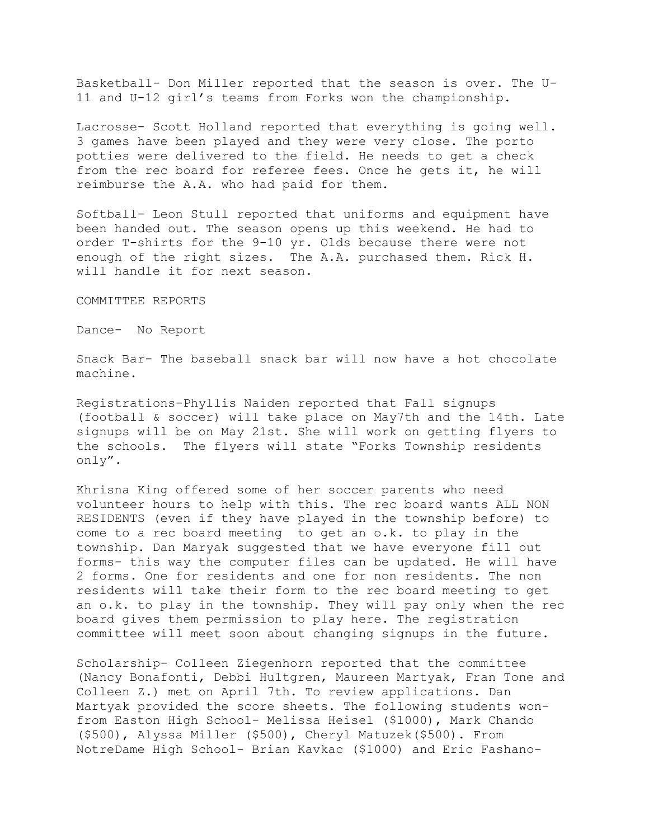Basketball- Don Miller reported that the season is over. The U-11 and U-12 girl's teams from Forks won the championship.

Lacrosse- Scott Holland reported that everything is going well. 3 games have been played and they were very close. The porto potties were delivered to the field. He needs to get a check from the rec board for referee fees. Once he gets it, he will reimburse the A.A. who had paid for them.

Softball- Leon Stull reported that uniforms and equipment have been handed out. The season opens up this weekend. He had to order T-shirts for the 9-10 yr. Olds because there were not enough of the right sizes. The A.A. purchased them. Rick H. will handle it for next season.

COMMITTEE REPORTS

Dance- No Report

Snack Bar- The baseball snack bar will now have a hot chocolate machine.

Registrations-Phyllis Naiden reported that Fall signups (football & soccer) will take place on May7th and the 14th. Late signups will be on May 21st. She will work on getting flyers to the schools. The flyers will state "Forks Township residents only".

Khrisna King offered some of her soccer parents who need volunteer hours to help with this. The rec board wants ALL NON RESIDENTS (even if they have played in the township before) to come to a rec board meeting to get an o.k. to play in the township. Dan Maryak suggested that we have everyone fill out forms- this way the computer files can be updated. He will have 2 forms. One for residents and one for non residents. The non residents will take their form to the rec board meeting to get an o.k. to play in the township. They will pay only when the rec board gives them permission to play here. The registration committee will meet soon about changing signups in the future.

Scholarship- Colleen Ziegenhorn reported that the committee (Nancy Bonafonti, Debbi Hultgren, Maureen Martyak, Fran Tone and Colleen Z.) met on April 7th. To review applications. Dan Martyak provided the score sheets. The following students wonfrom Easton High School- Melissa Heisel (\$1000), Mark Chando (\$500), Alyssa Miller (\$500), Cheryl Matuzek(\$500). From NotreDame High School- Brian Kavkac (\$1000) and Eric Fashano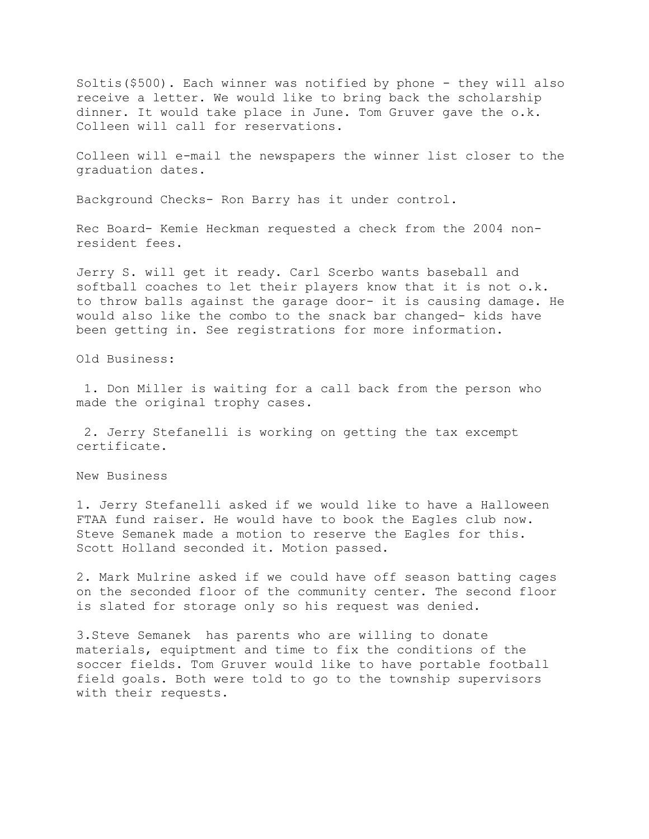Soltis(\$500). Each winner was notified by phone - they will also receive a letter. We would like to bring back the scholarship dinner. It would take place in June. Tom Gruver gave the o.k. Colleen will call for reservations.

Colleen will e-mail the newspapers the winner list closer to the graduation dates.

Background Checks- Ron Barry has it under control.

Rec Board- Kemie Heckman requested a check from the 2004 nonresident fees.

Jerry S. will get it ready. Carl Scerbo wants baseball and softball coaches to let their players know that it is not o.k. to throw balls against the garage door- it is causing damage. He would also like the combo to the snack bar changed- kids have been getting in. See registrations for more information.

Old Business:

1. Don Miller is waiting for a call back from the person who made the original trophy cases.

2. Jerry Stefanelli is working on getting the tax excempt certificate.

New Business

1. Jerry Stefanelli asked if we would like to have a Halloween FTAA fund raiser. He would have to book the Eagles club now. Steve Semanek made a motion to reserve the Eagles for this. Scott Holland seconded it. Motion passed.

2. Mark Mulrine asked if we could have off season batting cages on the seconded floor of the community center. The second floor is slated for storage only so his request was denied.

3.Steve Semanek has parents who are willing to donate materials, equiptment and time to fix the conditions of the soccer fields. Tom Gruver would like to have portable football field goals. Both were told to go to the township supervisors with their requests.